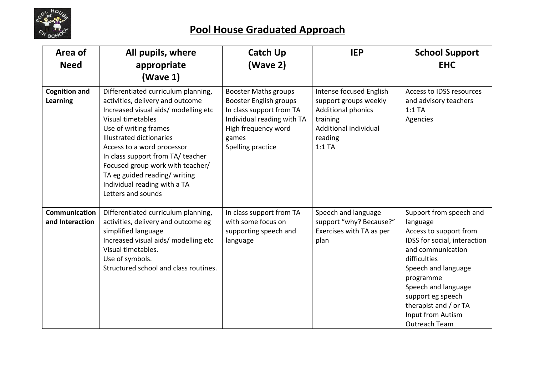

| Area of<br><b>Need</b>                  | All pupils, where<br>appropriate<br>(Wave 1)                                                                                                                                                                                                                                                                                                                                                  | <b>Catch Up</b><br>(Wave 2)                                                                                                                                                 | <b>IEP</b>                                                                                                                                | <b>School Support</b><br><b>EHC</b>                                                                                                                                                                                                                                               |
|-----------------------------------------|-----------------------------------------------------------------------------------------------------------------------------------------------------------------------------------------------------------------------------------------------------------------------------------------------------------------------------------------------------------------------------------------------|-----------------------------------------------------------------------------------------------------------------------------------------------------------------------------|-------------------------------------------------------------------------------------------------------------------------------------------|-----------------------------------------------------------------------------------------------------------------------------------------------------------------------------------------------------------------------------------------------------------------------------------|
| <b>Cognition and</b><br><b>Learning</b> | Differentiated curriculum planning,<br>activities, delivery and outcome<br>Increased visual aids/ modelling etc<br>Visual timetables<br>Use of writing frames<br><b>Illustrated dictionaries</b><br>Access to a word processor<br>In class support from TA/ teacher<br>Focused group work with teacher/<br>TA eg guided reading/writing<br>Individual reading with a TA<br>Letters and sounds | <b>Booster Maths groups</b><br><b>Booster English groups</b><br>In class support from TA<br>Individual reading with TA<br>High frequency word<br>games<br>Spelling practice | Intense focused English<br>support groups weekly<br><b>Additional phonics</b><br>training<br>Additional individual<br>reading<br>$1:1$ TA | Access to IDSS resources<br>and advisory teachers<br>$1:1$ TA<br>Agencies                                                                                                                                                                                                         |
| Communication<br>and Interaction        | Differentiated curriculum planning,<br>activities, delivery and outcome eg<br>simplified language<br>Increased visual aids/ modelling etc<br>Visual timetables.<br>Use of symbols.<br>Structured school and class routines.                                                                                                                                                                   | In class support from TA<br>with some focus on<br>supporting speech and<br>language                                                                                         | Speech and language<br>support "why? Because?"<br>Exercises with TA as per<br>plan                                                        | Support from speech and<br>language<br>Access to support from<br>IDSS for social, interaction<br>and communication<br>difficulties<br>Speech and language<br>programme<br>Speech and language<br>support eg speech<br>therapist and / or TA<br>Input from Autism<br>Outreach Team |